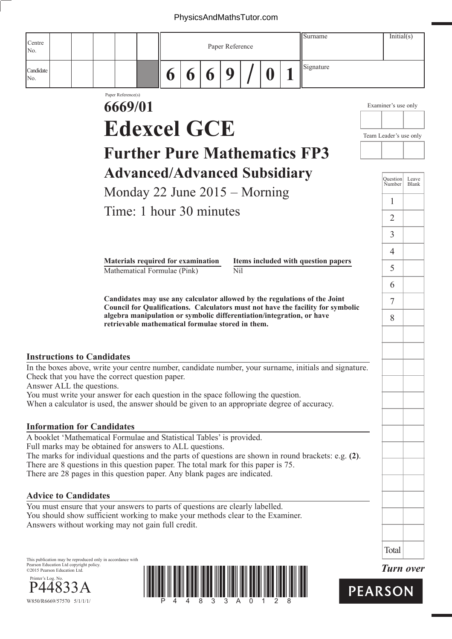## PhysicsAndMathsTutor.com

|                              |                                         |                                                            |                               |                                                                                                                                                                 |                 |   |   |                 |  |   |  | Surname                                                                                                                                                  | Initial(s)             |                  |
|------------------------------|-----------------------------------------|------------------------------------------------------------|-------------------------------|-----------------------------------------------------------------------------------------------------------------------------------------------------------------|-----------------|---|---|-----------------|--|---|--|----------------------------------------------------------------------------------------------------------------------------------------------------------|------------------------|------------------|
| Centre<br>No.                |                                         |                                                            |                               |                                                                                                                                                                 | Paper Reference |   |   |                 |  |   |  |                                                                                                                                                          |                        |                  |
| Candidate<br>No.             |                                         |                                                            |                               |                                                                                                                                                                 | 6               | 6 | 6 | 9               |  | 0 |  | Signature                                                                                                                                                |                        |                  |
|                              |                                         |                                                            | Paper Reference(s)<br>6669/01 |                                                                                                                                                                 |                 |   |   |                 |  |   |  |                                                                                                                                                          | Examiner's use only    |                  |
|                              |                                         |                                                            |                               |                                                                                                                                                                 |                 |   |   |                 |  |   |  |                                                                                                                                                          |                        |                  |
|                              |                                         |                                                            |                               | <b>Edexcel GCE</b>                                                                                                                                              |                 |   |   |                 |  |   |  |                                                                                                                                                          | Team Leader's use only |                  |
|                              |                                         |                                                            |                               |                                                                                                                                                                 |                 |   |   |                 |  |   |  | <b>Further Pure Mathematics FP3</b>                                                                                                                      |                        |                  |
|                              |                                         |                                                            |                               | <b>Advanced/Advanced Subsidiary</b>                                                                                                                             |                 |   |   |                 |  |   |  |                                                                                                                                                          | <b>Question</b>        | Leave            |
|                              |                                         |                                                            |                               | Monday 22 June 2015 - Morning                                                                                                                                   |                 |   |   |                 |  |   |  |                                                                                                                                                          | Number                 | Blank            |
|                              |                                         |                                                            |                               | Time: 1 hour 30 minutes                                                                                                                                         |                 |   |   |                 |  |   |  |                                                                                                                                                          | $\mathbf{1}$           |                  |
|                              |                                         |                                                            |                               |                                                                                                                                                                 |                 |   |   |                 |  |   |  |                                                                                                                                                          | $\overline{2}$         |                  |
|                              |                                         |                                                            |                               |                                                                                                                                                                 |                 |   |   |                 |  |   |  |                                                                                                                                                          | $\overline{3}$         |                  |
|                              |                                         |                                                            |                               | Materials required for examination                                                                                                                              |                 |   |   |                 |  |   |  | Items included with question papers                                                                                                                      | $\overline{4}$         |                  |
|                              |                                         |                                                            |                               | Mathematical Formulae (Pink)                                                                                                                                    |                 |   |   | N <sub>il</sub> |  |   |  |                                                                                                                                                          | 5                      |                  |
|                              |                                         |                                                            |                               |                                                                                                                                                                 |                 |   |   |                 |  |   |  | Candidates may use any calculator allowed by the regulations of the Joint                                                                                | 6                      |                  |
|                              |                                         |                                                            |                               |                                                                                                                                                                 |                 |   |   |                 |  |   |  | Council for Qualifications. Calculators must not have the facility for symbolic<br>algebra manipulation or symbolic differentiation/integration, or have | 7                      |                  |
|                              |                                         |                                                            |                               | retrievable mathematical formulae stored in them.                                                                                                               |                 |   |   |                 |  |   |  |                                                                                                                                                          | 8                      |                  |
|                              |                                         |                                                            |                               |                                                                                                                                                                 |                 |   |   |                 |  |   |  |                                                                                                                                                          |                        |                  |
|                              |                                         | <b>Instructions to Candidates</b>                          |                               |                                                                                                                                                                 |                 |   |   |                 |  |   |  | In the boxes above, write your centre number, candidate number, your surname, initials and signature.                                                    |                        |                  |
|                              |                                         | Answer ALL the questions.                                  |                               | Check that you have the correct question paper.                                                                                                                 |                 |   |   |                 |  |   |  |                                                                                                                                                          |                        |                  |
|                              |                                         |                                                            |                               | You must write your answer for each question in the space following the question.                                                                               |                 |   |   |                 |  |   |  | When a calculator is used, the answer should be given to an appropriate degree of accuracy.                                                              |                        |                  |
|                              |                                         |                                                            |                               |                                                                                                                                                                 |                 |   |   |                 |  |   |  |                                                                                                                                                          |                        |                  |
|                              |                                         | <b>Information for Candidates</b>                          |                               | A booklet 'Mathematical Formulae and Statistical Tables' is provided.                                                                                           |                 |   |   |                 |  |   |  |                                                                                                                                                          |                        |                  |
|                              |                                         |                                                            |                               | Full marks may be obtained for answers to ALL questions.                                                                                                        |                 |   |   |                 |  |   |  |                                                                                                                                                          |                        |                  |
|                              |                                         |                                                            |                               | There are 8 questions in this question paper. The total mark for this paper is 75.                                                                              |                 |   |   |                 |  |   |  | The marks for individual questions and the parts of questions are shown in round brackets: e.g. (2).                                                     |                        |                  |
|                              |                                         |                                                            |                               | There are 28 pages in this question paper. Any blank pages are indicated.                                                                                       |                 |   |   |                 |  |   |  |                                                                                                                                                          |                        |                  |
|                              | <b>Advice to Candidates</b>             |                                                            |                               |                                                                                                                                                                 |                 |   |   |                 |  |   |  |                                                                                                                                                          |                        |                  |
|                              |                                         |                                                            |                               | You must ensure that your answers to parts of questions are clearly labelled.<br>You should show sufficient working to make your methods clear to the Examiner. |                 |   |   |                 |  |   |  |                                                                                                                                                          |                        |                  |
|                              |                                         |                                                            |                               | Answers without working may not gain full credit.                                                                                                               |                 |   |   |                 |  |   |  |                                                                                                                                                          |                        |                  |
|                              |                                         |                                                            |                               |                                                                                                                                                                 |                 |   |   |                 |  |   |  |                                                                                                                                                          | Total                  |                  |
| ©2015 Pearson Education Ltd. | Pearson Education Ltd copyright policy. | This publication may be reproduced only in accordance with |                               |                                                                                                                                                                 |                 |   |   |                 |  |   |  |                                                                                                                                                          |                        | <b>Turn over</b> |
| Printer's Log. No.           |                                         |                                                            |                               |                                                                                                                                                                 |                 |   |   |                 |  |   |  |                                                                                                                                                          | <b>PEARSON</b>         |                  |
|                              | W850/R6669/57570 5/1/1/1/               |                                                            |                               |                                                                                                                                                                 |                 |   |   |                 |  |   |  |                                                                                                                                                          |                        |                  |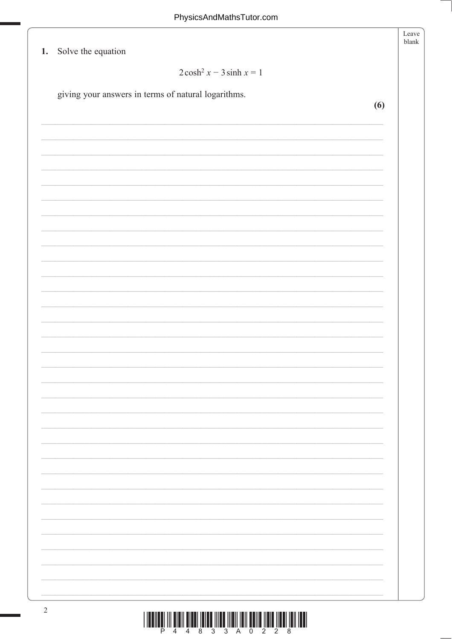| 1. Solve the equation                               | Leave |
|-----------------------------------------------------|-------|
| $2\cosh^2 x - 3\sinh x = 1$                         |       |
| giving your answers in terms of natural logarithms. | (6)   |
|                                                     |       |
|                                                     |       |
|                                                     |       |
|                                                     |       |
|                                                     |       |
|                                                     |       |
|                                                     |       |
|                                                     |       |
|                                                     |       |
|                                                     |       |
|                                                     |       |
|                                                     |       |
|                                                     |       |
|                                                     |       |
|                                                     |       |
|                                                     |       |
|                                                     |       |
|                                                     |       |
|                                                     |       |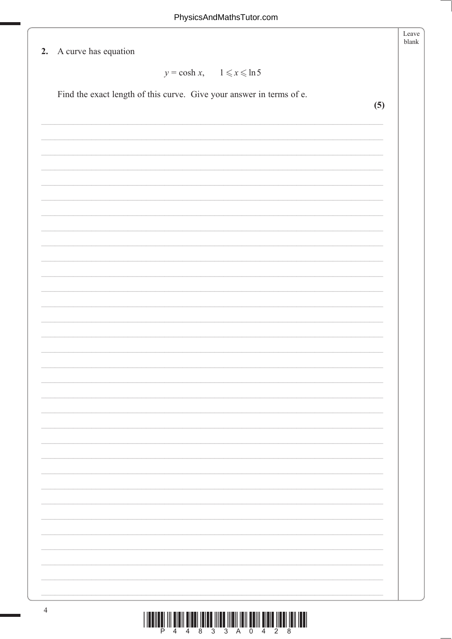| 2. A curve has equation                                              |     |
|----------------------------------------------------------------------|-----|
| $y = \cosh x$ , $1 \le x \le \ln 5$                                  |     |
| Find the exact length of this curve. Give your answer in terms of e. |     |
|                                                                      | (5) |
|                                                                      |     |
|                                                                      |     |
|                                                                      |     |
|                                                                      |     |
|                                                                      |     |
|                                                                      |     |
|                                                                      |     |
|                                                                      |     |
|                                                                      |     |
|                                                                      |     |
|                                                                      |     |
|                                                                      |     |
|                                                                      |     |
|                                                                      |     |
|                                                                      |     |
|                                                                      |     |
|                                                                      |     |
|                                                                      |     |
|                                                                      |     |
|                                                                      |     |
|                                                                      |     |
|                                                                      |     |
|                                                                      |     |
|                                                                      |     |
|                                                                      |     |
|                                                                      |     |
|                                                                      |     |
|                                                                      |     |
|                                                                      |     |
|                                                                      |     |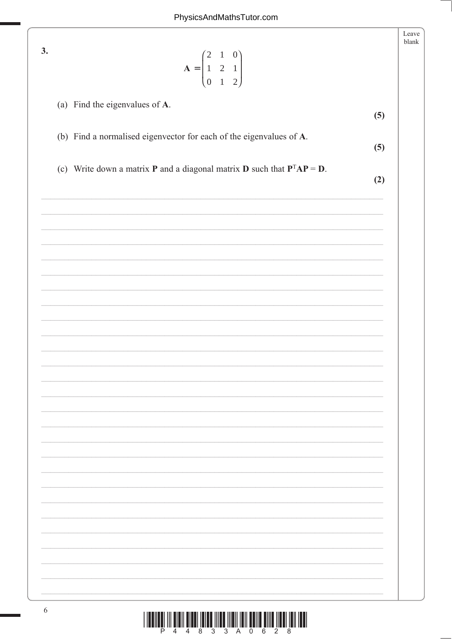|                                                                                           | Leave<br>blank |
|-------------------------------------------------------------------------------------------|----------------|
| 3.                                                                                        |                |
| $A = \begin{pmatrix} 2 & 1 & 0 \\ 1 & 2 & 1 \\ 0 & 1 & 2 \end{pmatrix}$                   |                |
|                                                                                           |                |
| (a) Find the eigenvalues of A.                                                            | (5)            |
|                                                                                           |                |
| (b) Find a normalised eigenvector for each of the eigenvalues of A.                       | (5)            |
|                                                                                           |                |
| (c) Write down a matrix <b>P</b> and a diagonal matrix <b>D</b> such that $P^{T}AP = D$ . | (2)            |
|                                                                                           |                |
|                                                                                           |                |
|                                                                                           |                |
|                                                                                           |                |
|                                                                                           |                |
|                                                                                           |                |
|                                                                                           |                |
|                                                                                           |                |
|                                                                                           |                |
|                                                                                           |                |
|                                                                                           |                |
|                                                                                           |                |
|                                                                                           |                |
|                                                                                           |                |
|                                                                                           |                |
|                                                                                           |                |
|                                                                                           |                |
|                                                                                           |                |
|                                                                                           |                |
|                                                                                           |                |
|                                                                                           |                |
|                                                                                           |                |
|                                                                                           |                |
|                                                                                           |                |
|                                                                                           |                |
|                                                                                           |                |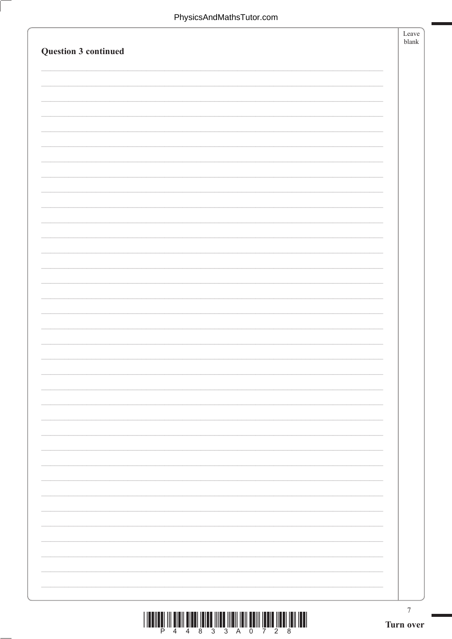| Question 3 continued | Leave<br>${\tt blank}$        |
|----------------------|-------------------------------|
|                      |                               |
|                      |                               |
|                      |                               |
|                      |                               |
|                      |                               |
|                      |                               |
|                      |                               |
|                      |                               |
|                      |                               |
|                      |                               |
|                      |                               |
|                      |                               |
|                      |                               |
|                      |                               |
|                      |                               |
|                      |                               |
|                      | $\boldsymbol{7}$<br>Turn over |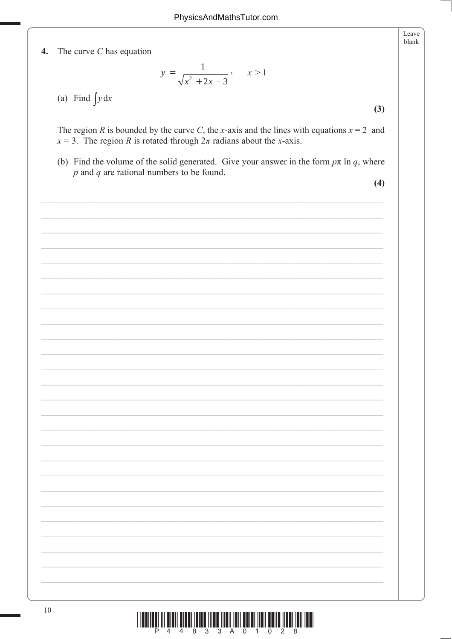$\boldsymbol{4}$ . The curve  $C$  has equation

$$
y = \frac{1}{\sqrt{x^2 + 2x - 3}}, \qquad x > 1
$$

(a) Find  $\int y dx$ 

The region R is bounded by the curve C, the x-axis and the lines with equations  $x = 2$  and  $x = 3$ . The region R is rotated through  $2\pi$  radians about the x-axis.

(b) Find the volume of the solid generated. Give your answer in the form  $p\pi \ln q$ , where  $p$  and  $q$  are rational numbers to be found.

 $(4)$ 

 $(3)$ 

Leave blank

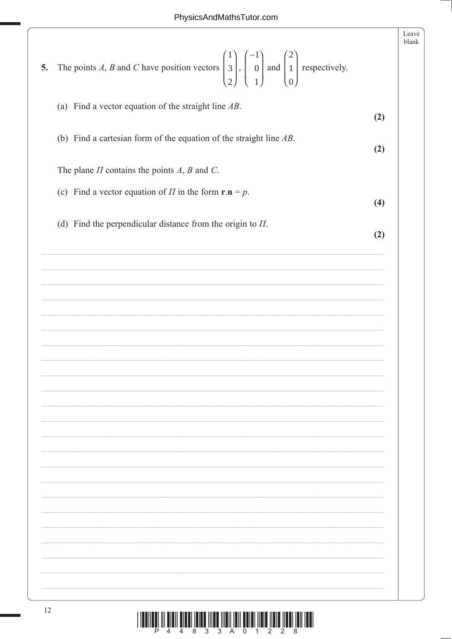| The points A, B and C have position vectors $\begin{pmatrix} 1 \\ 3 \\ 2 \end{pmatrix}$ , $\begin{pmatrix} -1 \\ 0 \\ 1 \end{pmatrix}$ and $\begin{pmatrix} 2 \\ 1 \\ 0 \end{pmatrix}$ respectively.<br>5. | Leave<br>blank |
|------------------------------------------------------------------------------------------------------------------------------------------------------------------------------------------------------------|----------------|
| (a) Find a vector equation of the straight line $AB$ .                                                                                                                                                     | (2)            |
| (b) Find a cartesian form of the equation of the straight line $AB$ .                                                                                                                                      | (2)            |
| The plane $\Pi$ contains the points $A$ , $B$ and $C$ .                                                                                                                                                    |                |
| (c) Find a vector equation of $\Pi$ in the form $\mathbf{r} \cdot \mathbf{n} = p$ .                                                                                                                        | (4)            |
| (d) Find the perpendicular distance from the origin to $\Pi$ .                                                                                                                                             | (2)            |
|                                                                                                                                                                                                            |                |
|                                                                                                                                                                                                            |                |
|                                                                                                                                                                                                            |                |
|                                                                                                                                                                                                            |                |
|                                                                                                                                                                                                            |                |
|                                                                                                                                                                                                            |                |
|                                                                                                                                                                                                            |                |
|                                                                                                                                                                                                            |                |
|                                                                                                                                                                                                            |                |
|                                                                                                                                                                                                            |                |
|                                                                                                                                                                                                            |                |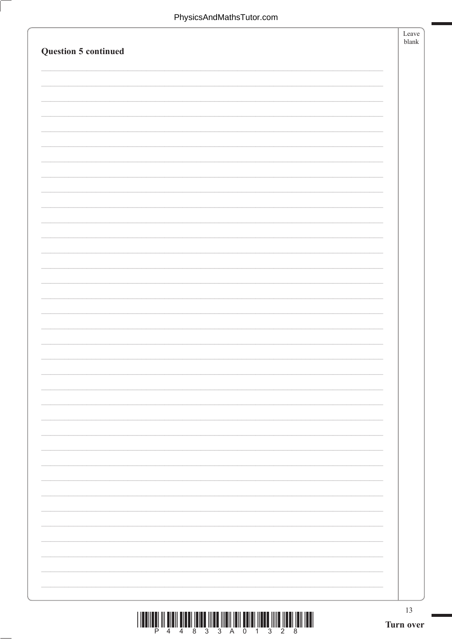| <b>Question 5 continued</b> |                 | Leave<br>blank |
|-----------------------------|-----------------|----------------|
|                             |                 |                |
|                             |                 |                |
|                             |                 |                |
|                             |                 |                |
|                             |                 |                |
|                             |                 |                |
|                             |                 |                |
|                             |                 |                |
|                             |                 |                |
|                             |                 |                |
|                             |                 |                |
|                             |                 |                |
|                             |                 |                |
|                             |                 |                |
|                             |                 |                |
|                             |                 |                |
|                             |                 |                |
|                             |                 |                |
|                             |                 |                |
|                             |                 |                |
|                             |                 |                |
|                             |                 |                |
|                             | 13<br>Turn over |                |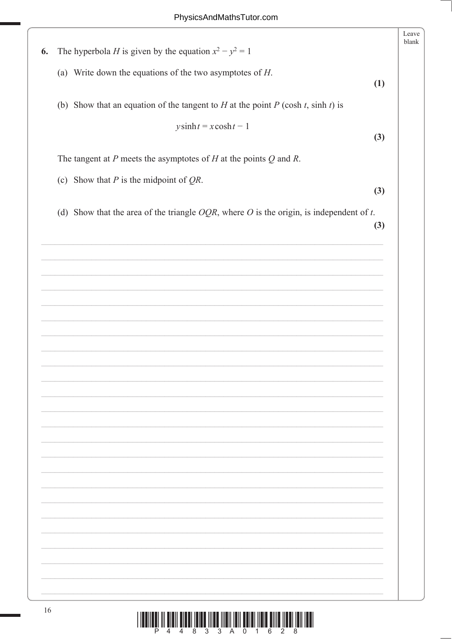| The hyperbola <i>H</i> is given by the equation $x^2 - y^2 = 1$<br>6.                      |     |
|--------------------------------------------------------------------------------------------|-----|
|                                                                                            |     |
| (a) Write down the equations of the two asymptotes of $H$ .                                | (1) |
| (b) Show that an equation of the tangent to $H$ at the point $P$ (cosh $t$ , sinh $t$ ) is |     |
| $y \sinh t = x \cosh t - 1$                                                                |     |
|                                                                                            | (3) |
| The tangent at $P$ meets the asymptotes of $H$ at the points $Q$ and $R$ .                 |     |
| (c) Show that $P$ is the midpoint of $QR$ .                                                |     |
|                                                                                            | (3) |
| (d) Show that the area of the triangle $OQR$ , where O is the origin, is independent of t. | (3) |
|                                                                                            |     |
|                                                                                            |     |
|                                                                                            |     |
|                                                                                            |     |
|                                                                                            |     |
|                                                                                            |     |
|                                                                                            |     |
|                                                                                            |     |
|                                                                                            |     |
|                                                                                            |     |
|                                                                                            |     |
|                                                                                            |     |
|                                                                                            |     |
|                                                                                            |     |
|                                                                                            |     |
|                                                                                            |     |
|                                                                                            |     |
|                                                                                            |     |
|                                                                                            |     |
|                                                                                            |     |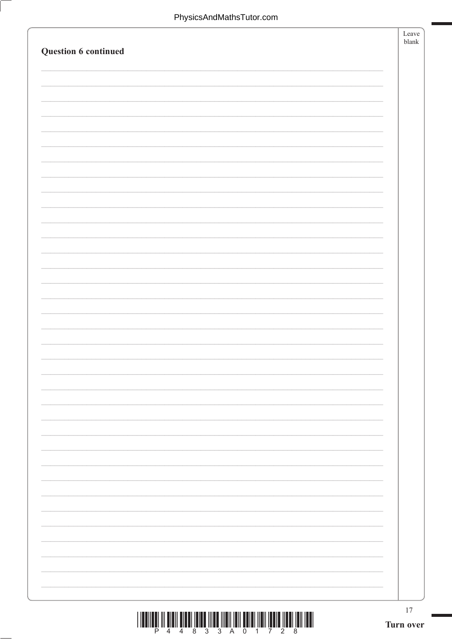| Question 6 continued | Leave<br>${\tt blank}$ |
|----------------------|------------------------|
|                      |                        |
|                      |                        |
|                      |                        |
|                      |                        |
|                      |                        |
|                      |                        |
|                      |                        |
|                      |                        |
|                      |                        |
|                      |                        |
|                      |                        |
|                      |                        |
|                      |                        |
|                      |                        |
|                      |                        |
|                      |                        |
|                      |                        |
|                      |                        |
|                      |                        |
|                      |                        |
|                      | $17$                   |
|                      | Turn over              |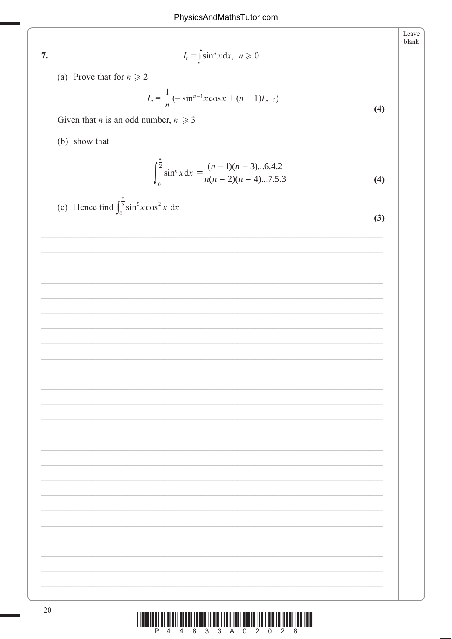$7.$ 

 $I_n = \int \sin^n x dx, \ \ n \geq 0$ 

(a) Prove that for  $n \ge 2$ 

$$
I_n = \frac{1}{n} \left( -\sin^{n-1} x \cos x + (n-1) I_{n-2} \right)
$$

Given that *n* is an odd number,  $n \ge 3$ 

(b) show that

$$
\int_0^{\frac{\pi}{2}} \sin^n x \, dx = \frac{(n-1)(n-3)...6.4.2}{n(n-2)(n-4)...7.5.3}
$$
 (4)

(c) Hence find 
$$
\int_0^{\frac{\pi}{2}} \sin^5 x \cos^2 x \, dx
$$

|        | ۰.                  |         |
|--------|---------------------|---------|
| ×<br>ĉ | ۰.<br>۰,<br>۰.<br>× | ۰.<br>٠ |

 $(4)$ 

Leave blank

| <u> I III MARIJI IN KULI MARIJI IN KULI IN MANJIJI IN MANJIJI IN MANJIJI IN MANJIJI IN MANJIJI IN MANJIJI IN MANJ</u> |  |  |                         |  |  |
|-----------------------------------------------------------------------------------------------------------------------|--|--|-------------------------|--|--|
|                                                                                                                       |  |  | P 4 4 8 3 3 A 0 2 0 2 8 |  |  |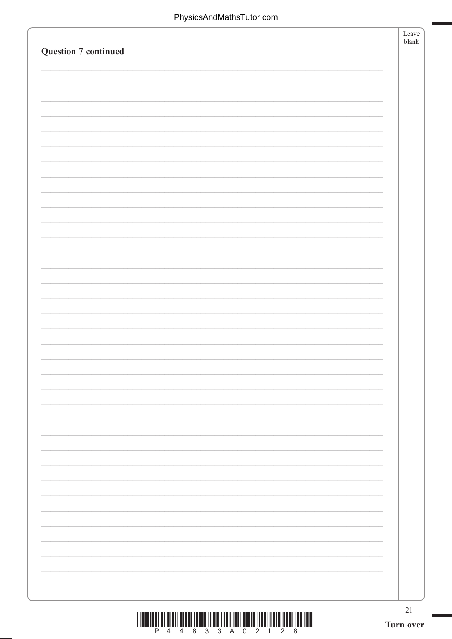| <b>Question 7 continued</b> | Leave<br>blank  |
|-----------------------------|-----------------|
|                             |                 |
|                             |                 |
|                             |                 |
|                             |                 |
|                             |                 |
|                             |                 |
|                             |                 |
|                             |                 |
|                             |                 |
|                             |                 |
|                             |                 |
|                             |                 |
|                             |                 |
|                             |                 |
|                             |                 |
|                             | 21<br>Turn over |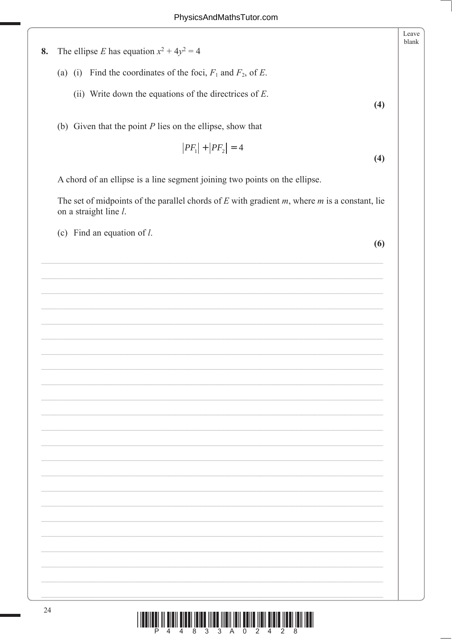Leave blank The ellipse E has equation  $x^2 + 4y^2 = 4$ (a) (i) Find the coordinates of the foci,  $F_1$  and  $F_2$ , of E. (ii) Write down the equations of the directrices of  $E$ .  $(4)$ (b) Given that the point  $P$  lies on the ellipse, show that  $|PF_1| + |PF_2| = 4$ 

A chord of an ellipse is a line segment joining two points on the ellipse.

The set of midpoints of the parallel chords of  $E$  with gradient  $m$ , where  $m$  is a constant, lie on a straight line l.

(c) Find an equation of  $l$ .

8.

 $(6)$ 

 $(4)$